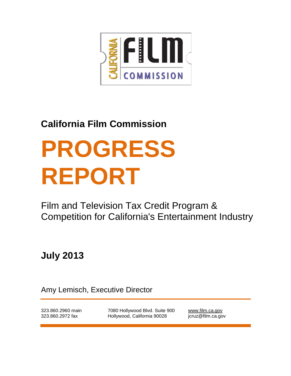

## **California Film Commission**

# **PROGRESS REPORT**

Film and Television Tax Credit Program & Competition for California's Entertainment Industry

**July 2013**

Amy Lemisch, Executive Director

323.860.2960 main 323.860.2972 fax

7080 Hollywood Blvd. Suite 900 Hollywood, California 90028

[www.film.ca.gov](http://www.film.ca.gov/) jcruz@film.ca.gov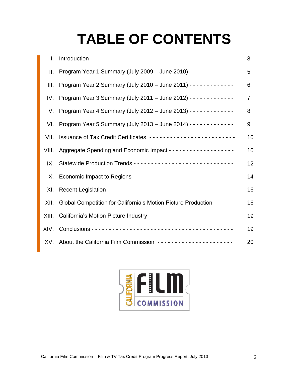# **TABLE OF CONTENTS**

| L.    |                                                                           | 3              |
|-------|---------------------------------------------------------------------------|----------------|
| Ш.    | Program Year 1 Summary (July 2009 - June 2010) - - - - - - - - - - - - -  | 5              |
| III.  | Program Year 2 Summary (July 2010 - June 2011) - - - - - - - - - - - - -  | 6              |
| IV.   | Program Year 3 Summary (July 2011 - June 2012) - - - - - - - - - - - - -  | $\overline{7}$ |
| V.    | Program Year 4 Summary (July 2012 - June 2013) - - - - - - - - - - - - -  | 8              |
| VI.   | Program Year 5 Summary (July 2013 - June 2014) - - - - - - - - - - - - -  | 9              |
| VII.  | Issuance of Tax Credit Certificates --------------------------            | 10             |
| VIII. |                                                                           | 10             |
| IX.   |                                                                           | 12             |
|       | X. Economic Impact to Regions ------------------------------              | 14             |
| XI.   |                                                                           | 16             |
| XII.  | Global Competition for California's Motion Picture Production - - - - - - | 16             |
| XIII. |                                                                           | 19             |
| XIV.  |                                                                           | 19             |
| XV.   | About the California Film Commission ----------------------               | 20             |

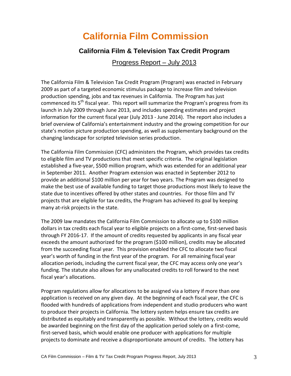### **California Film Commission**

#### **California Film & Television Tax Credit Program**

#### Progress Report – July 2013

The California Film & Television Tax Credit Program (Program) was enacted in February 2009 as part of a targeted economic stimulus package to increase film and television production spending, jobs and tax revenues in California. The Program has just commenced its 5<sup>th</sup> fiscal year. This report will summarize the Program's progress from its launch in July 2009 through June 2013, and includes spending estimates and project information for the current fiscal year (July 2013 - June 2014). The report also includes a brief overview of California's entertainment industry and the growing competition for our state's motion picture production spending, as well as supplementary background on the changing landscape for scripted television series production.

The California Film Commission (CFC) administers the Program, which provides tax credits to eligible film and TV productions that meet specific criteria. The original legislation established a five-year, \$500 million program, which was extended for an additional year in September 2011. Another Program extension was enacted in September 2012 to provide an additional \$100 million per year for two years. The Program was designed to make the best use of available funding to target those productions most likely to leave the state due to incentives offered by other states and countries. For those film and TV projects that are eligible for tax credits, the Program has achieved its goal by keeping many at-risk projects in the state.

The 2009 law mandates the California Film Commission to allocate up to \$100 million dollars in tax credits each fiscal year to eligible projects on a first-come, first-served basis through FY 2016-17. If the amount of credits requested by applicants in any fiscal year exceeds the amount authorized for the program (\$100 million), credits may be allocated from the succeeding fiscal year. This provision enabled the CFC to allocate two fiscal year's worth of funding in the first year of the program. For all remaining fiscal year allocation periods, including the current fiscal year, the CFC may access only one year's funding. The statute also allows for any unallocated credits to roll forward to the next fiscal year's allocations.

Program regulations allow for allocations to be assigned via a lottery if more than one application is received on any given day. At the beginning of each fiscal year, the CFC is flooded with hundreds of applications from independent and studio producers who want to produce their projects in California. The lottery system helps ensure tax credits are distributed as equitably and transparently as possible. Without the lottery, credits would be awarded beginning on the first day of the application period solely on a first-come, first-served basis, which would enable one producer with applications for multiple projects to dominate and receive a disproportionate amount of credits. The lottery has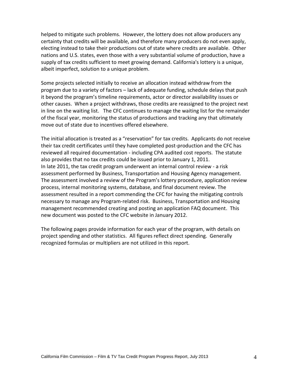helped to mitigate such problems. However, the lottery does not allow producers any certainty that credits will be available, and therefore many producers do not even apply, electing instead to take their productions out of state where credits are available. Other nations and U.S. states, even those with a very substantial volume of production, have a supply of tax credits sufficient to meet growing demand. California's lottery is a unique, albeit imperfect, solution to a unique problem.

Some projects selected initially to receive an allocation instead withdraw from the program due to a variety of factors – lack of adequate funding, schedule delays that push it beyond the program's timeline requirements, actor or director availability issues or other causes. When a project withdraws, those credits are reassigned to the project next in line on the waiting list. The CFC continues to manage the waiting list for the remainder of the fiscal year, monitoring the status of productions and tracking any that ultimately move out of state due to incentives offered elsewhere.

The initial allocation is treated as a "reservation" for tax credits. Applicants do not receive their tax credit certificates until they have completed post-production and the CFC has reviewed all required documentation - including CPA audited cost reports. The statute also provides that no tax credits could be issued prior to January 1, 2011. In late 2011, the tax credit program underwent an internal control review - a risk assessment performed by Business, Transportation and Housing Agency management. The assessment involved a review of the Program's lottery procedure, application review process, internal monitoring systems, database, and final document review. The assessment resulted in a report commending the CFC for having the mitigating controls necessary to manage any Program-related risk. Business, Transportation and Housing management recommended creating and posting an application FAQ document. This new document was posted to the CFC website in January 2012.

The following pages provide information for each year of the program, with details on project spending and other statistics. All figures reflect direct spending. Generally recognized formulas or multipliers are not utilized in this report.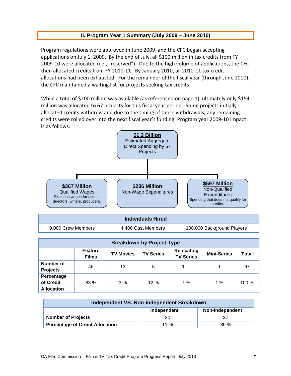#### **II. Program Year 1 Summary (July 2009 – June 2010)**

Program regulations were approved in June 2009, and the CFC began accepting applications on July 1, 2009. By the end of July, all \$100 million in tax credits from FY 2009-10 were allocated (i.e., "reserved"). Due to the high volume of applications, the CFC then allocated credits from FY 2010-11. By January 2010, all 2010-11 tax credit allocations had been exhausted. For the remainder of the fiscal year (through June 2010), the CFC maintained a waiting list for projects seeking tax credits.

While a total of \$200 million was available (as referenced on page 1), ultimately only \$154 million was allocated to 67 projects for this fiscal year period. Some projects initially allocated credits withdrew and due to the timing of those withdrawals, any remaining credits were rolled over into the next fiscal year's funding. Program year 2009-10 impact is as follows:



| <b>Breakdown by Project Type</b>             |                                                                                                                                         |    |     |    |       |      |  |  |
|----------------------------------------------|-----------------------------------------------------------------------------------------------------------------------------------------|----|-----|----|-------|------|--|--|
|                                              | Relocating<br><b>Feature</b><br><b>TV Series</b><br><b>Mini-Series</b><br>Total<br><b>TV Movies</b><br><b>TV Series</b><br><b>Films</b> |    |     |    |       |      |  |  |
| Number of<br><b>Projects</b>                 | 46                                                                                                                                      | 13 | 6   |    |       | 67   |  |  |
| Percentage<br>of Credit<br><b>Allocation</b> | $83\%$                                                                                                                                  | 3% | 12% | 1% | 1 $%$ | 100% |  |  |

| Independent VS. Non-independent Breakdown              |    |  |  |  |  |
|--------------------------------------------------------|----|--|--|--|--|
| Non-independent<br>Independent                         |    |  |  |  |  |
| <b>Number of Projects</b>                              | 30 |  |  |  |  |
| <b>Percentage of Credit Allocation</b><br>11 %<br>89 % |    |  |  |  |  |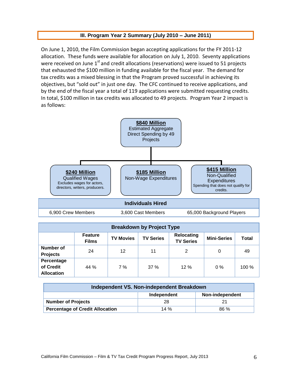#### **III. Program Year 2 Summary (July 2010 – June 2011)**

On June 1, 2010, the Film Commission began accepting applications for the FY 2011-12 allocation. These funds were available for allocation on July 1, 2010. Seventy applications were received on June 1<sup>st</sup> and credit allocations (reservations) were issued to 51 projects that exhausted the \$100 million in funding available for the fiscal year. The demand for tax credits was a mixed blessing in that the Program proved successful in achieving its objectives, but "sold out" in just one day. The CFC continued to receive applications, and by the end of the fiscal year a total of 119 applications were submitted requesting credits. In total, \$100 million in tax credits was allocated to 49 projects. Program Year 2 impact is as follows:



| 6,900 Crew Members | 3,600 Cast Members | 65,000 Background Players |
|--------------------|--------------------|---------------------------|

| <b>Breakdown by Project Type</b>             |                                                                                                                                                |    |     |     |       |       |  |
|----------------------------------------------|------------------------------------------------------------------------------------------------------------------------------------------------|----|-----|-----|-------|-------|--|
|                                              | Relocating<br><b>Feature</b><br><b>Total</b><br><b>TV Series</b><br><b>Mini-Series</b><br><b>TV Movies</b><br><b>TV Series</b><br><b>Films</b> |    |     |     |       |       |  |
| Number of<br><b>Projects</b>                 | 24                                                                                                                                             | 12 | 11  | 2   | 0     | 49    |  |
| Percentage<br>of Credit<br><b>Allocation</b> | 44 %                                                                                                                                           | 7% | 37% | 12% | $0\%$ | 100 % |  |

| Independent VS. Non-independent Breakdown             |    |    |  |  |  |
|-------------------------------------------------------|----|----|--|--|--|
| Non-independent<br>Independent                        |    |    |  |  |  |
| <b>Number of Projects</b>                             | 28 | 21 |  |  |  |
| <b>Percentage of Credit Allocation</b><br>86 %<br>14% |    |    |  |  |  |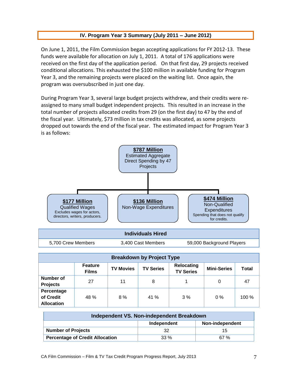#### **IV. Program Year 3 Summary (July 2011 – June 2012)**

On June 1, 2011, the Film Commission began accepting applications for FY 2012-13. These funds were available for allocation on July 1, 2011. A total of 176 applications were received on the first day of the application period. On that first day, 29 projects received conditional allocations. This exhausted the \$100 million in available funding for Program Year 3, and the remaining projects were placed on the waiting list. Once again, the program was oversubscribed in just one day.

During Program Year 3, several large budget projects withdrew, and their credits were reassigned to many small budget independent projects. This resulted in an increase in the total number of projects allocated credits from 29 (on the first day) to 47 by the end of the fiscal year. Ultimately, \$73 million in tax credits was allocated, as some projects dropped out towards the end of the fiscal year. The estimated impact for Program Year 3 is as follows:



#### **Individuals Hired**

5,700 Crew Members 3,400 Cast Members 59,000 Background Players

| <b>Breakdown by Project Type</b>             |                                                                                                                                                |    |      |    |       |         |  |  |
|----------------------------------------------|------------------------------------------------------------------------------------------------------------------------------------------------|----|------|----|-------|---------|--|--|
|                                              | Relocating<br><b>Feature</b><br><b>TV Series</b><br><b>Mini-Series</b><br><b>Total</b><br><b>TV Movies</b><br><b>TV Series</b><br><b>Films</b> |    |      |    |       |         |  |  |
| Number of<br><b>Projects</b>                 | 27                                                                                                                                             | 11 | 8    |    | 0     | 47      |  |  |
| Percentage<br>of Credit<br><b>Allocation</b> | 48 %                                                                                                                                           | 8% | 41 % | 3% | $0\%$ | $100\%$ |  |  |

| Independent VS. Non-independent Breakdown                |    |    |  |  |  |
|----------------------------------------------------------|----|----|--|--|--|
| Non-independent<br>Independent                           |    |    |  |  |  |
| <b>Number of Projects</b>                                | 32 | 15 |  |  |  |
| <b>Percentage of Credit Allocation</b><br>$33\%$<br>67 % |    |    |  |  |  |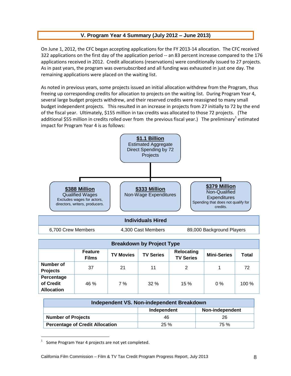#### **V. Program Year 4 Summary (July 2012 – June 2013)**

On June 1, 2012, the CFC began accepting applications for the FY 2013-14 allocation. The CFC received 322 applications on the first day of the application period -- an 83 percent increase compared to the 176 applications received in 2012. Credit allocations (reservations) were conditionally issued to 27 projects. As in past years, the program was oversubscribed and all funding was exhausted in just one day. The remaining applications were placed on the waiting list.

As noted in previous years, some projects issued an initial allocation withdrew from the Program, thus freeing up corresponding credits for allocation to projects on the waiting list. During Program Year 4, several large budget projects withdrew, and their reserved credits were reassigned to many small budget independent projects. This resulted in an increase in projects from 27 initially to 72 by the end of the fiscal year. Ultimately, \$155 million in tax credits was allocated to those 72 projects. (The additional \$55 million in credits rolled over from the previous fiscal year.) The preliminary<sup>1</sup> estimated impact for Program Year 4 is as follows:



| <b>Breakdown by Project Type</b>             |                                                                                                                                                |    |     |     |       |       |  |  |
|----------------------------------------------|------------------------------------------------------------------------------------------------------------------------------------------------|----|-----|-----|-------|-------|--|--|
|                                              | Relocating<br><b>Feature</b><br><b>Total</b><br><b>TV Series</b><br><b>Mini-Series</b><br><b>TV Movies</b><br><b>TV Series</b><br><b>Films</b> |    |     |     |       |       |  |  |
| Number of<br><b>Projects</b>                 | 37                                                                                                                                             | 21 | 11  | 2   |       | 72    |  |  |
| Percentage<br>of Credit<br><b>Allocation</b> | 46 %                                                                                                                                           | 7% | 32% | 15% | $0\%$ | 100 % |  |  |

| Independent VS. Non-independent Breakdown             |    |    |  |  |  |
|-------------------------------------------------------|----|----|--|--|--|
| Non-independent<br>Independent                        |    |    |  |  |  |
| <b>Number of Projects</b>                             | 46 | 26 |  |  |  |
| <b>Percentage of Credit Allocation</b><br>25%<br>75 % |    |    |  |  |  |

<sup>1</sup> Some Program Year 4 projects are not yet completed.

 $\overline{a}$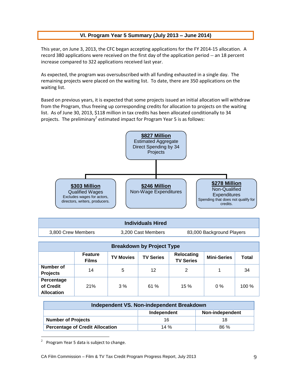#### **VI. Program Year 5 Summary (July 2013 – June 2014)**

This year, on June 3, 2013, the CFC began accepting applications for the FY 2014-15 allocation. A record 380 applications were received on the first day of the application period -- an 18 percent increase compared to 322 applications received last year.

As expected, the program was oversubscribed with all funding exhausted in a single day. The remaining projects were placed on the waiting list. To date, there are 350 applications on the waiting list.

Based on previous years, it is expected that some projects issued an initial allocation will withdraw from the Program, thus freeing up corresponding credits for allocation to projects on the waiting list. As of June 30, 2013, \$118 million in tax credits has been allocated conditionally to 34 projects. The preliminary<sup>2</sup> estimated impact for Program Year 5 is as follows:



|                    | <b>Individuals Hired</b> |                           |
|--------------------|--------------------------|---------------------------|
| 3.800 Crew Members | 3.200 Cast Members       | 83,000 Background Players |

| <b>Breakdown by Project Type</b>             |                                                                                                                                                |    |     |     |       |      |  |
|----------------------------------------------|------------------------------------------------------------------------------------------------------------------------------------------------|----|-----|-----|-------|------|--|
|                                              | Relocating<br><b>Feature</b><br><b>TV Series</b><br><b>Mini-Series</b><br><b>Total</b><br><b>TV Movies</b><br><b>TV Series</b><br><b>Films</b> |    |     |     |       |      |  |
| Number of<br><b>Projects</b>                 | 14                                                                                                                                             | 5  | 12  | 2   |       | 34   |  |
| Percentage<br>of Credit<br><b>Allocation</b> | 21%                                                                                                                                            | 3% | 61% | 15% | $0\%$ | 100% |  |

| Independent VS. Non-independent Breakdown |             |                 |
|-------------------------------------------|-------------|-----------------|
|                                           | Independent | Non-independent |
| <b>Number of Projects</b>                 | 16          | 18              |
| <b>Percentage of Credit Allocation</b>    | 14%         | 86 %            |

<sup>2</sup> Program Year 5 data is subject to change.

 $\overline{a}$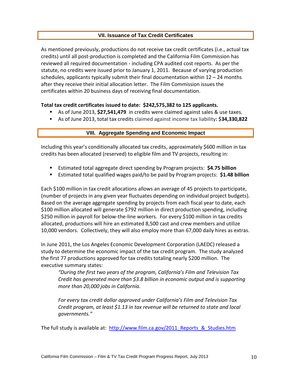#### **VII. Issuance of Tax Credit Certificates**

As mentioned previously, productions do not receive tax credit certificates (i.e., actual tax credits) until all post-production is completed and the California Film Commission has reviewed all required documentation - including CPA audited cost reports. As per the statute, no credits were issued prior to January 1, 2011. Because of varying production schedules, applicants typically submit their final documentation within  $12 - 24$  months after they receive their initial allocation letter. The Film Commission issues the certificates within 20 business days of receiving final documentation.

#### **Total tax credit certificates issued to date: \$242,575,382 to 125 applicants.**

- As of June 2013, **\$27,541,479** in credits were claimed against sales & use taxes.
- As of June 2013, total tax credits claimed against income tax liability**: \$34,330,822**

#### **VIII. Aggregate Spending and Economic Impact**

Including this year's conditionally allocated tax credits, approximately \$600 million in tax credits has been allocated (reserved) to eligible film and TV projects, resulting in:

- Estimated total aggregate direct spending by Program projects: **\$4.75 billion**
- Estimated total qualified wages paid/to be paid by Program projects: **\$1.48 billion**

Each \$100 million in tax credit allocations allows an average of 45 projects to participate, (number of projects in any given year fluctuates depending on individual project budgets). Based on the average aggregate spending by projects from each fiscal year to date, each \$100 million allocated will generate \$792 million in direct production spending, including \$250 million in payroll for below-the-line workers. For every \$100 million in tax credits allocated, productions will hire an estimated 8,500 cast and crew members and utilize 10,000 vendors. Collectively, they will also employ more than 67,000 daily hires as extras.

In June 2011, the Los Angeles Economic Development Corporation (LAEDC) released a study to determine the economic impact of the tax credit program. The study analyzed the first 77 productions approved for tax credits totaling nearly \$200 million. The executive summary states:

*"During the first two years of the program, California's Film and Television Tax Credit has generated more than \$3.8 billion in economic output and is supporting more than 20,000 jobs in California.*

*For every tax credit dollar approved under California's Film and Television Tax Credit program, at least \$1.13 in tax revenue will be returned to state and local governments."*

The full study is available at: [http://www.film.ca.gov/2011\\_Reports\\_&\\_Studies.htm](http://www.film.ca.gov/2011_Reports_&_Studies.htm)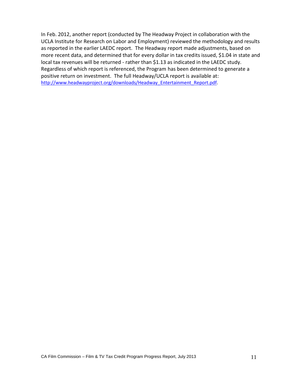In Feb. 2012, another report (conducted by The Headway Project in collaboration with the UCLA Institute for Research on Labor and Employment) reviewed the methodology and results as reported in the earlier LAEDC report. The Headway report made adjustments, based on more recent data, and determined that for every dollar in tax credits issued, \$1.04 in state and local tax revenues will be returned - rather than \$1.13 as indicated in the LAEDC study. Regardless of which report is referenced, the Program has been determined to generate a positive return on investment. The full Headway/UCLA report is available at: [http://www.headwayproject.org/downloads/Headway\\_Entertainment\\_Report.pdf.](http://www.headwayproject.org/downloads/Headway_Entertainment_Report.pdf)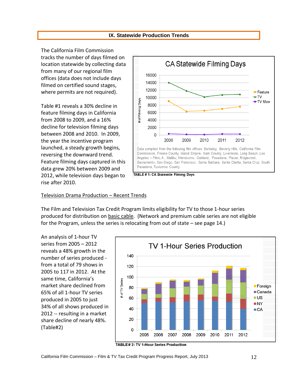#### **IX. Statewide Production Trends**

The California Film Commission tracks the number of days filmed on location statewide by collecting data from many of our regional film offices (data does not include days filmed on certified sound stages, where permits are not required).

Table #1 reveals a 30% decline in feature filming days in California from 2008 to 2009, and a 16% decline for television filming days between 2008 and 2010. In 2009, the year the incentive program launched, a steady growth begins, reversing the downward trend. Feature filming days captured in this data grew 20% between 2009 and 2012, while television days began to rise after 2010.



TABLE # 1: CA Statewide Filming Days

#### Television Drama Production – Recent Trends

The Film and Television Tax Credit Program limits eligibility for TV to those 1-hour series produced for distribution on basic cable. (Network and premium cable series are not eligible for the Program, unless the series is relocating from out of state – see page 14.)

An analysis of 1-hour TV series from 2005 – 2012 reveals a 48% growth in the number of series produced from a total of 79 shows in 2005 to 117 in 2012. At the same time, California's market share declined from 65% of all 1-hour TV series produced in 2005 to just 34% of all shows produced in 2012 -- resulting in a market share decline of nearly 48%. (Table#2)



TABLE# 2: TV 1-Hour Series Production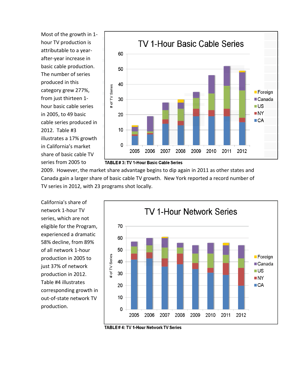Most of the growth in 1 hour TV production is attributable to a yearafter-year increase in basic cable production. The number of series produced in this category grew 277%, from just thirteen 1 hour basic cable series in 2005, to 49 basic cable series produced in 2012. Table #3 illustrates a 17% growth in California's market share of basic cable TV series from 2005 to



TABLE#3: TV 1-Hour Basic Cable Series

2009. However, the market share advantage begins to dip again in 2011 as other states and Canada gain a larger share of basic cable TV growth. New York reported a record number of TV series in 2012, with 23 programs shot locally.

California's share of network 1-hour TV series, which are not eligible for the Program, experienced a dramatic 58% decline, from 89% of all network 1-hour production in 2005 to just 37% of network production in 2012. Table #4 illustrates corresponding growth in out-of-state network TV production.



TABLE#4: TV 1-Hour Network TV Series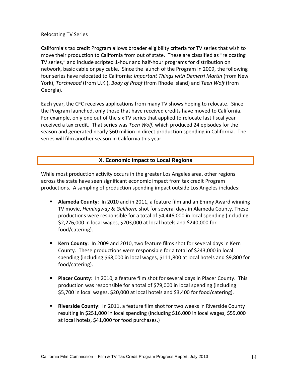#### Relocating TV Series

California's tax credit Program allows broader eligibility criteria for TV series that wish to move their production to California from out of state. These are classified as "relocating TV series," and include scripted 1-hour and half-hour programs for distribution on network, basic cable or pay cable. Since the launch of the Program in 2009, the following four series have relocated to California: *Important Things with Demetri Martin* (from New York), *Torchwood* (from U.K.), *Body of Proof* (from Rhode Island) and *Teen Wolf* (from Georgia).

Each year, the CFC receives applications from many TV shows hoping to relocate. Since the Program launched, only those that have received credits have moved to California. For example, only one out of the six TV series that applied to relocate last fiscal year received a tax credit. That series was *Teen Wolf,* which produced 24 episodes for the season and generated nearly \$60 million in direct production spending in California. The series will film another season in California this year.

#### **X. Economic Impact to Local Regions**

While most production activity occurs in the greater Los Angeles area, other regions across the state have seen significant economic impact from tax credit Program productions. A sampling of production spending impact outside Los Angeles includes:

- **Alameda County**: In 2010 and in 2011, a feature film and an Emmy Award winning TV movie, *Hemingway & Gellhorn,* shot for several days in Alameda County. These productions were responsible for a total of \$4,446,000 in local spending (including \$2,276,000 in local wages, \$203,000 at local hotels and \$240,000 for food/catering).
- **Kern County**: In 2009 and 2010, two feature films shot for several days in Kern County. These productions were responsible for a total of \$243,000 in local spending (including \$68,000 in local wages, \$111,800 at local hotels and \$9,800 for food/catering).
- **Placer County**: In 2010, a feature film shot for several days in Placer County. This production was responsible for a total of \$79,000 in local spending (including \$5,700 in local wages, \$20,000 at local hotels and \$3,400 for food/catering).
- **Riverside County**: In 2011, a feature film shot for two weeks in Riverside County resulting in \$251,000 in local spending (including \$16,000 in local wages, \$59,000 at local hotels, \$41,000 for food purchases.)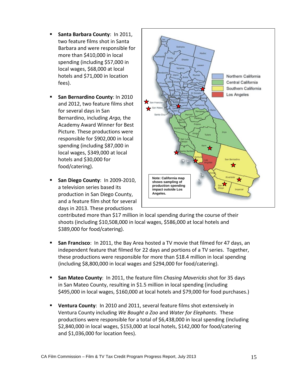- **Santa Barbara County**: In 2011, two feature films shot in Santa Barbara and were responsible for more than \$410,000 in local spending (including \$57,000 in local wages, \$68,000 at local hotels and \$71,000 in location fees).
- **San Bernardino County: In 2010** and 2012, two feature films shot for several days in San Bernardino, including *Argo,* the Academy Award Winner for Best Picture. These productions were responsible for \$902,000 in local spending (including \$87,000 in local wages, \$349,000 at local hotels and \$30,000 for food/catering).
- **San Diego County**: In 2009-2010, a television series based its production in San Diego County, and a feature film shot for several days in 2013. These productions



contributed more than \$17 million in local spending during the course of their shoots (including \$10,508,000 in local wages, \$586,000 at local hotels and \$389,000 for food/catering).

- **San Francisco**: In 2011, the Bay Area hosted a TV movie that filmed for 47 days, an independent feature that filmed for 22 days and portions of a TV series. Together, these productions were responsible for more than \$18.4 million in local spending (including \$8,800,000 in local wages and \$294,000 for food/catering).
- **San Mateo County**: In 2011, the feature film *Chasing Mavericks* shot for 35 days in San Mateo County, resulting in \$1.5 million in local spending (including \$495,000 in local wages, \$160,000 at local hotels and \$79,000 for food purchases.)
- **Ventura County**: In 2010 and 2011, several feature films shot extensively in Ventura County including *We Bought a Zoo* and *Water for Elephants*. These productions were responsible for a total of \$6,438,000 in local spending (including \$2,840,000 in local wages, \$153,000 at local hotels, \$142,000 for food/catering and \$1,036,000 for location fees).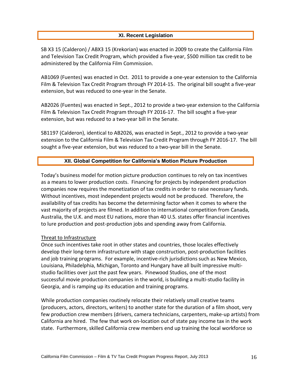#### **XI. Recent Legislation**

SB X3 15 (Calderon) / ABX3 15 (Krekorian) was enacted in 2009 to create the California Film and Television Tax Credit Program, which provided a five-year, \$500 million tax credit to be administered by the California Film Commission.

AB1069 (Fuentes) was enacted in Oct. 2011 to provide a one-year extension to the California Film & Television Tax Credit Program through FY 2014-15. The original bill sought a five-year extension, but was reduced to one-year in the Senate.

AB2026 (Fuentes) was enacted in Sept., 2012 to provide a two-year extension to the California Film & Television Tax Credit Program through FY 2016-17. The bill sought a five-year extension, but was reduced to a two-year bill in the Senate.

SB1197 (Calderon), identical to AB2026, was enacted in Sept., 2012 to provide a two-year extension to the California Film & Television Tax Credit Program through FY 2016-17. The bill sought a five-year extension, but was reduced to a two-year bill in the Senate.

#### **XII. Global Competition for California's Motion Picture Production**

Today's business model for motion picture production continues to rely on tax incentives as a means to lower production costs. Financing for projects by independent production companies now requires the monetization of tax credits in order to raise necessary funds. Without incentives, most independent projects would not be produced. Therefore, the availability of tax credits has become the determining factor when it comes to where the vast majority of projects are filmed. In addition to international competition from Canada, Australia, the U.K. and most EU nations, more than 40 U.S. states offer financial incentives to lure production and post-production jobs and spending away from California.

#### Threat to Infrastructure

Once such incentives take root in other states and countries, those locales effectively develop their long-term infrastructure with stage construction, post-production facilities and job training programs. For example, incentive-rich jurisdictions such as New Mexico, Louisiana, Philadelphia, Michigan, Toronto and Hungary have all built impressive multistudio facilities over just the past few years. [Pinewood Studios,](http://www.pinewoodgroup.com/) one of the most successful movie production companies in the world, is building a multi-studio facility in Georgia, and is ramping up its education and training programs.

While production companies routinely relocate their relatively small creative teams (producers, actors, directors, writers) to another state for the duration of a film shoot, very few production crew members (drivers, camera technicians, carpenters, make-up artists) from California are hired. The few that work on-location out of state pay income tax in the work state. Furthermore, skilled California crew members end up training the local workforce so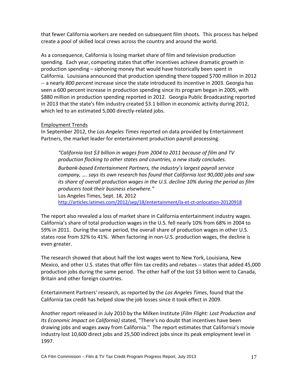that fewer California workers are needed on subsequent film shoots. This process has helped create a pool of skilled local crews across the country and around the world.

As a consequence, California is losing market share of film and television production spending. Each year, competing states that offer incentives achieve dramatic growth in production spending – siphoning money that would have historically been spent in California. Louisiana announced that production spending there topped \$700 million in 2012 -- a nearly *800 percent* increase since the state introduced its incentive in 2003. Georgia has seen a 600 percent increase in production spending since its program began in 2005, with \$880 million in production spending reported in 2012. Georgia Public Broadcasting reported in 2013 that the state's film industry created \$3.1 billion in economic activity during 2012, which led to an estimated 5,000 directly-related jobs.

#### Employment Trends

In September 2012, the *Los Angeles Times* reported on data provided by Entertainment Partners, the market leader for entertainment production payroll processing.

*"California lost \$3 billion in wages from 2004 to 2011 because of film and TV production flocking to other states and countries, a new study concludes.*

*Burbank-based Entertainment Partners, the industry's largest payroll service company, …. says its own research has found that California lost 90,000 jobs and saw its share of overall production wages in the U.S. decline 10% during the period as film producers took their business elsewhere."* 

Los Angeles Times, Sept. 18, 2012 <http://articles.latimes.com/2012/sep/18/entertainment/la-et-ct-onlocation-20120918>

The report also revealed a loss of market share in California entertainment industry wages. California's share of total production wages in the U.S. fell nearly 10% from 68% in 2004 to 59% in 2011. During the same period, the overall share of production wages in other U.S. states rose from 32% to 41%. When factoring in non-U.S. production wages, the decline is even greater.

The research showed that about half the lost wages went to New York, Louisiana, New Mexico, and other U.S. states that offer film tax credits and rebates -- states that added 45,000 production jobs during the same period. The other half of the lost \$3 billion went to Canada, Britain and other foreign countries.

Entertainment Partners' research, as reported by the *Los Angeles Times*, found that the California tax credit has helped slow the job losses since it took effect in 2009.

Another report released in July 2010 by the Milken Institute (*Film Flight: Lost Production and Its Economic Impact on California)* stated, "There's no doubt that incentives have been drawing jobs and wages away from California.'' The report estimates that California's movie industry lost 10,600 direct jobs and 25,500 indirect jobs since its peak employment level in 1997.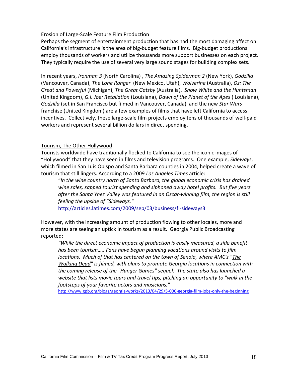#### Erosion of Large-Scale Feature Film Production

Perhaps the segment of entertainment production that has had the most damaging affect on California's infrastructure is the area of big-budget feature films. Big-budget productions employ thousands of workers and utilize thousands more support businesses on each project. They typically require the use of several very large sound stages for building complex sets.

In recent years, *Ironman 3* (North Carolina) , *The Amazing Spiderman 2* (New York), *Godzilla* (Vancouver, Canada), *The Lone Ranger* (New Mexico, Utah), *Wolverine* (Australia), *Oz: The Great and Powerful* (Michigan), *The Great Gatsby* (Australia), *Snow White and the Huntsman* (United Kingdom), *G.I. Joe: Retaliation* (Louisiana), *Dawn of the Planet of the Apes* ( Louisiana), *Godzilla* (set in San Francisco but filmed in Vancouver, Canada) and the new *Star Wars* franchise (United Kingdom) are a few examples of films that have left California to access incentives. Collectively, these large-scale film projects employ tens of thousands of well-paid workers and represent several billion dollars in direct spending.

#### Tourism, The Other Hollywood

Tourists worldwide have traditionally flocked to California to see the iconic images of "Hollywood" that they have seen in films and television programs. One example, *Sideways*, which filmed in San Luis Obispo and Santa Barbara counties in 2004, helped create a wave of tourism that still lingers. According to a 2009 *Los Angeles Times* article:

"*In the wine country north of Santa Barbara, the global economic crisis has drained wine sales, sapped tourist spending and siphoned away hotel profits. But five years after the Santa Ynez Valley was featured in an Oscar-winning film, the region is still feeling the upside of "Sideways."*

<http://articles.latimes.com/2009/sep/03/business/fi-sideways3>

However, with the increasing amount of production flowing to other locales, more and more states are seeing an uptick in tourism as a result. Georgia Public Broadcasting reported:

"While the direct economic impact of production is easily measured, a side benefit *has been tourism….. Fans have begun planning vacations around visits to film locations. Much of that has centered on the town of Senoia, where AMC's ["The](http://www.gpb.org/blogs/georgia-works/2013/03/30/senoia-ga-comes-alive-with-the-%E2%80%9Cwalking-dead%E2%80%9D)  [Walking Dead"](http://www.gpb.org/blogs/georgia-works/2013/03/30/senoia-ga-comes-alive-with-the-%E2%80%9Cwalking-dead%E2%80%9D) is filmed, with plans to promote Georgia locations in connection with the coming release of the "Hunger Games" sequel. The state also has launched a website that lists movie tours and travel tips, pitching an opportunity to "walk in the footsteps of your favorite actors and musicians."* 

<http://www.gpb.org/blogs/georgia-works/2013/04/29/5-000-georgia-film-jobs-only-the-beginning>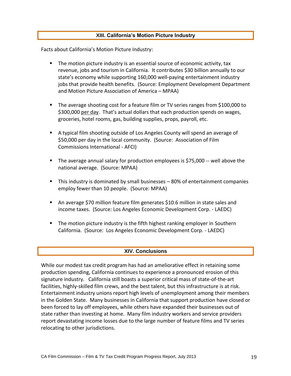#### **XIII. California's Motion Picture Industry**

Facts about California's Motion Picture Industry:

- The motion picture industry is an essential source of economic activity, tax revenue, jobs and tourism in California. It contributes \$30 billion annually to our state's economy while supporting 160,000 well-paying entertainment industry jobs that provide health benefits. (Source: Employment Development Department and Motion Picture Association of America – MPAA)
- The average shooting cost for a feature film or TV series ranges from \$100,000 to \$300,000 per day. That's actual dollars that each production spends on wages, groceries, hotel rooms, gas, building supplies, props, payroll, etc.
- A typical film shooting outside of Los Angeles County will spend an average of \$50,000 per day in the local community. (Source: Association of Film Commissions International - AFCI)
- The average annual salary for production employees is \$75,000 -- well above the national average. (Source: MPAA)
- This industry is dominated by small businesses 80% of entertainment companies employ fewer than 10 people. (Source: MPAA)
- An average \$70 million feature film generates \$10.6 million in state sales and income taxes. (Source: Los Angeles Economic Development Corp. - LAEDC)
- **The motion picture industry is the fifth highest ranking employer in Southern** California. (Source: Los Angeles Economic Development Corp. - LAEDC)

#### **XIV. Conclusions**

While our modest tax credit program has had an ameliorative effect in retaining some production spending, California continues to experience a pronounced erosion of this signature industry. California still boasts a superior critical mass of state-of-the-art facilities, highly-skilled film crews, and the best talent, but this infrastructure is at risk. Entertainment industry unions report high levels of unemployment among their members in the Golden State. Many businesses in California that support production have closed or been forced to lay off employees, while others have expanded their businesses out of state rather than investing at home. Many film industry workers and service providers report devastating income losses due to the large number of feature films and TV series relocating to other jurisdictions.